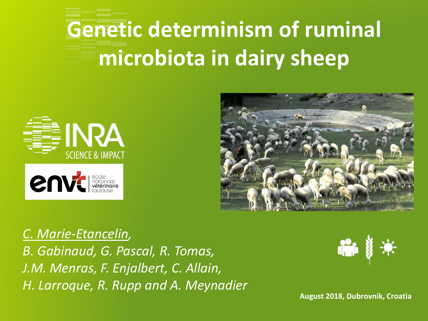# **Genetic determinism of ruminal microbiota in dairy sheep**





*C. Marie-Etancelin, B. Gabinaud, G. Pascal, R. Tomas, J.M. Menras, F. Enjalbert, C. Allain, H. Larroque, R. Rupp and A. Meynadier*



**August 2018, Dubrovnik, Croatia**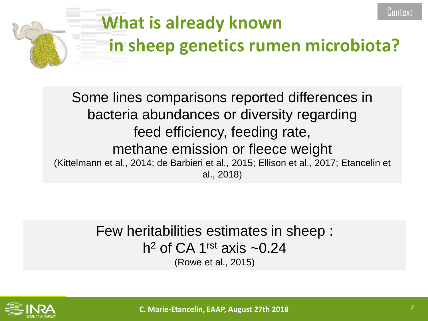

Some lines comparisons reported differences in bacteria abundances or diversity regarding feed efficiency, feeding rate, methane emission or fleece weight (Kittelmann et al., 2014; de Barbieri et al., 2015; Ellison et al., 2017; Etancelin et al., 2018)

> Few heritabilities estimates in sheep : h<sup>2</sup> of CA 1<sup>rst</sup> axis  $\sim$ 0.24 (Rowe et al., 2015)



**C. Marie-Etancelin, EAAP, August 27th 2018** 2

Contex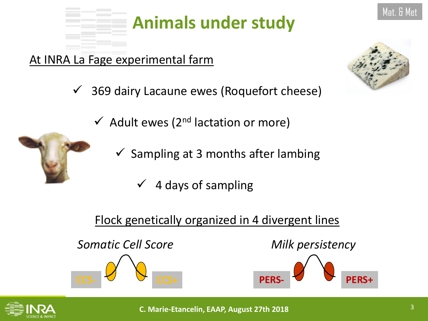

## **Animals under study**

### At INRA La Fage experimental farm

- $\checkmark$  369 dairy Lacaune ewes (Roquefort cheese)
	- $\checkmark$  Adult ewes (2<sup>nd</sup> lactation or more)
		- $\checkmark$  Sampling at 3 months after lambing
			- ✓ 4 days of sampling

### Flock genetically organized in 4 divergent lines



**CCS- CCS+**

*Milk persistency*



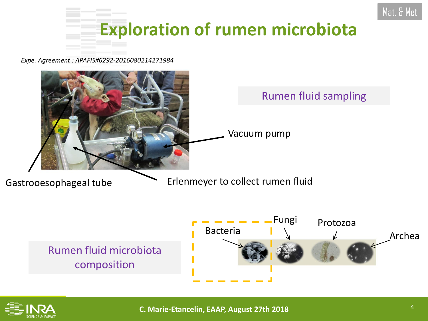

*Expe. Agreement : APAFIS#6292-2016080214271984*





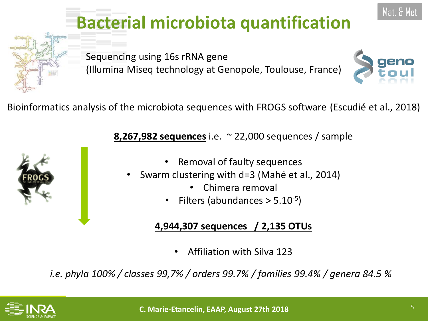## **Bacterial microbiota quantification**

Sequencing using 16s rRNA gene (Illumina Miseq technology at Genopole, Toulouse, France)



**8,267,982 sequences** i.e. ~ 22,000 sequences / sample

- Removal of faulty sequences
- Swarm clustering with d=3 (Mahé et al., 2014)
	- Chimera removal
	- Filters (abundances  $> 5.10^{-5}$ )

#### **4,944,307 sequences / 2,135 OTUs**

• Affiliation with Silva 123

*i.e. phyla 100% / classes 99,7% / orders 99.7% / families 99.4% / genera 84.5 %*







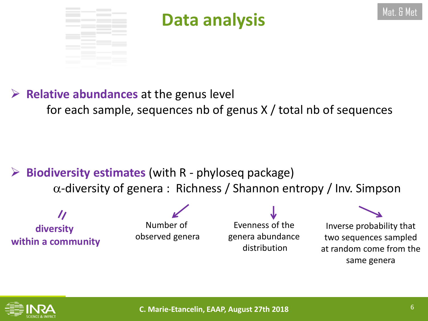

## **Data analysis** Mat. & Met. & Met

### ➢ **Relative abundances** at the genus level for each sample, sequences nb of genus X / total nb of sequences

### ➢ **Biodiversity estimates** (with R - phyloseq package)  $\alpha$ -diversity of genera : Richness / Shannon entropy / Inv. Simpson

 $\boldsymbol{\prime}$ **diversity within a community**

Number of observed genera

Evenness of the genera abundance distribution

Inverse probability that two sequences sampled at random come from the same genera

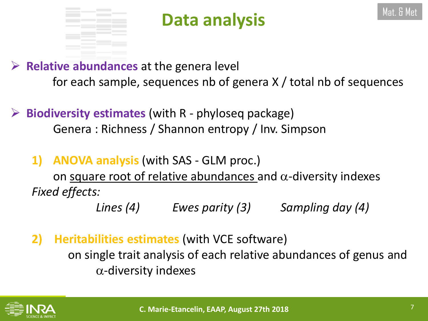

## **Data analysis** Mat. & Met. & Met

➢ **Relative abundances** at the genera level for each sample, sequences nb of genera X / total nb of sequences

➢ **Biodiversity estimates** (with R - phyloseq package) Genera : Richness / Shannon entropy / Inv. Simpson

**1) ANOVA analysis** (with SAS - GLM proc.)

on square root of relative abundances and  $\alpha$ -diversity indexes *Fixed effects:*

*Lines (4) Ewes parity (3) Sampling day (4)*

**2) Heritabilities estimates** (with VCE software)

on single trait analysis of each relative abundances of genus and  $\alpha$ -diversity indexes

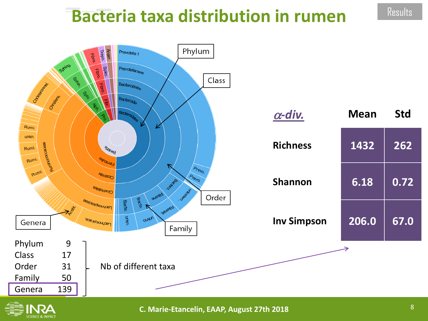### **Bacteria taxa distribution in rumen**





**C. Marie-Etancelin, EAAP, August 27th 2018** 

**Results**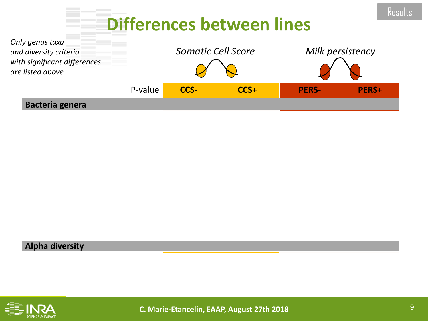### **Differences between lines**



#### **Alpha diversity**

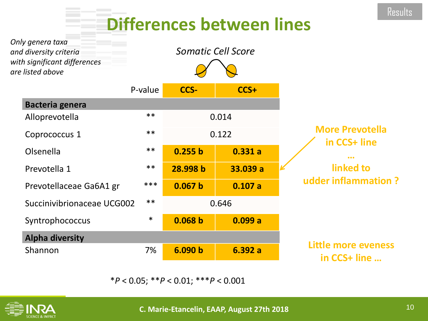## **Differences between lines**

| Only genera taxa<br>and diversity criteria<br>with significant differences<br>are listed above |         |          | Somatic Cell Score |                                        |
|------------------------------------------------------------------------------------------------|---------|----------|--------------------|----------------------------------------|
|                                                                                                | P-value | CCS-     | CCS+               |                                        |
| <b>Bacteria genera</b>                                                                         |         |          |                    |                                        |
| Alloprevotella                                                                                 | $***$   | 0.014    |                    | <b>More Prevotella</b><br>in CCS+ line |
| Coprococcus 1                                                                                  | $***$   | 0.122    |                    |                                        |
| Olsenella                                                                                      | $***$   | 0.255 b  | 0.331a             | linked to<br>udder inflammation?       |
| Prevotella 1                                                                                   | $***$   | 28.998 b | 33.039 a           |                                        |
| Prevotellaceae Ga6A1 gr                                                                        | ***     | 0.067 b  | 0.107a             |                                        |
| Succinivibrionaceae UCG002                                                                     | $***$   | 0.646    |                    |                                        |
| Syntrophococcus                                                                                | $\ast$  | 0.068 b  | 0.099a             |                                        |
| <b>Alpha diversity</b>                                                                         |         |          |                    |                                        |
| Shannon                                                                                        | 7%      | 6.090 b  | 6.392a             | Little more eveness<br>in CCS+ line    |

\**P* < 0.05; \*\**P* < 0.01; \*\*\**P* < 0.001

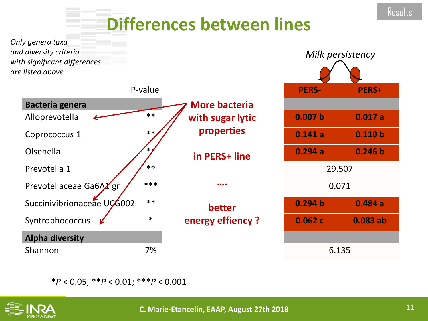### **Differences between lines**



\**P* < 0.05; \*\**P* < 0.01; \*\*\**P* < 0.001

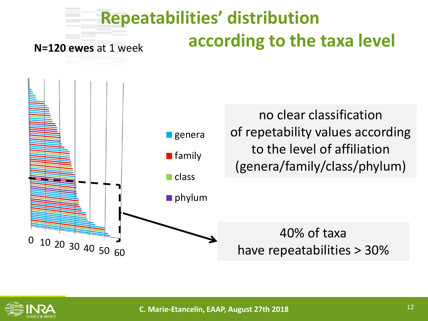## **Repeatabilities' distribution according to the taxa level**

**N=120 ewes** at 1 week



no clear classification of repetability values according to the level of affiliation (genera/family/class/phylum)

40% of taxa have repeatabilities > 30%

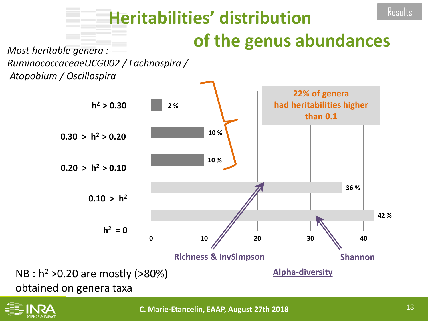### **Heritabilities' distribution of the genus abundances Results**

*Most heritable genera : RuminococcaceaeUCG002 / Lachnospira / Atopobium / Oscillospira*



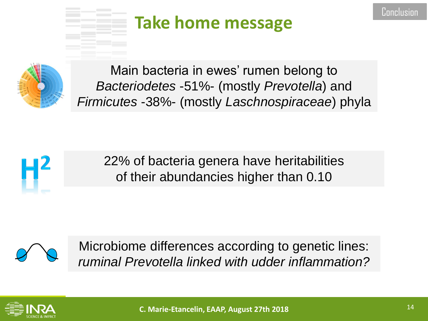## **Take home message**



Main bacteria in ewes' rumen belong to *Bacteriodetes* -51%- (mostly *Prevotella*) and *Firmicutes* -38%- (mostly *Laschnospiraceae*) phyla



22% of bacteria genera have heritabilities of their abundancies higher than 0.10



Microbiome differences according to genetic lines: *ruminal Prevotella linked with udder inflammation?*

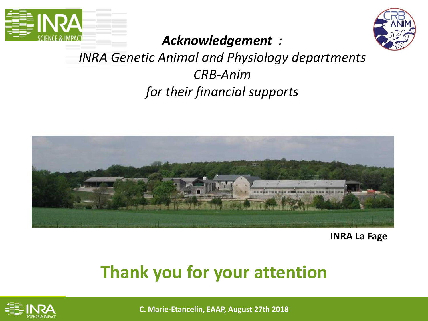



### *Acknowledgement :*

### *INRA Genetic Animal and Physiology departments CRB-Anim for their financial supports*



**INRA La Fage**

### **Thank you for your attention**